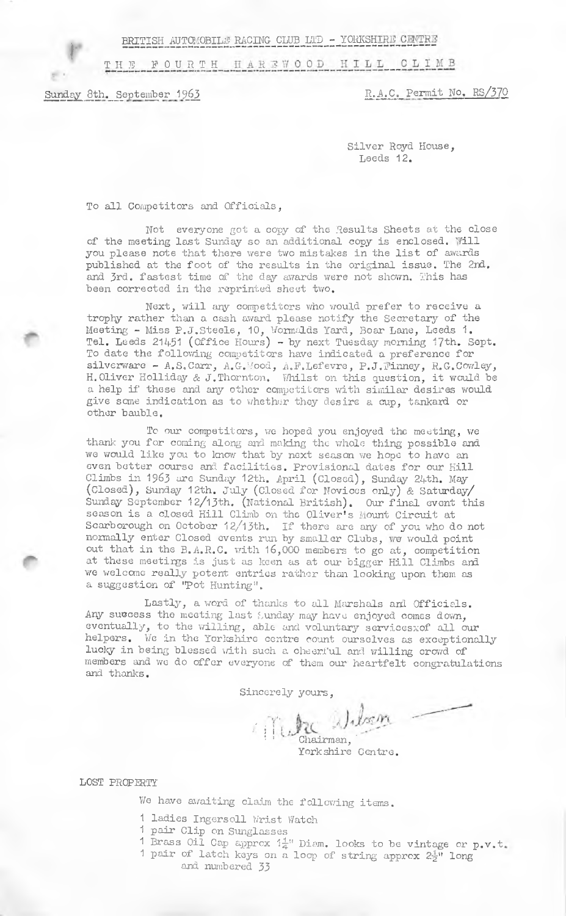BRITISH AUTOMOBILE RACING CLUB\_LTD - YORKSHIRE CENTRE

THE FOURTH HARBWOOD HILL CLIMB

I

Sunday 8th. September 1963 R.A.C. Permit No. RS/370

Silver Royd House, Leeds 12.

To all Competitors and Officials,

Not everyone got a copy of the Results Sheets at the close of the meeting last Sunday so an additional copy is enclosed. Will you please note that there veere two mistakes in the list of awards published at the foot of the results in the original issue. The 2nd, and 3rd. fastest time of the day awards were not shown. This has been corrected in the reprinted sheet two.

Next, will any competitors who would prefer to receive a troplxy rather than a cash award please notify the Secretary of the Meeting - Miss P.J,Steele, 10, Vormalds Yard, Boar Lane, Leeds 1, Tel. Leeds 21451 (Office Hours) - by next Tuesday morning 17th. Sept. To date the following competitors have indicated a preference for silverware - A.S.Carr, A.G.'ood, A.F.Lefevre, P.J.Finney, R.G.Cowley, H. Oliver Holliday & J. Thornton. Whilst on this question, it would be a help if these and any other competitors with similar desires would give some indication as to whether they desire a cup, tankard or other bauble.

To our competitors, we hoped you enjoyed the meeting, we thank you for coming along and making the whole thing possible and we would like you to know that by next season we hope to have an even better course and facilities. Provisional dates for our Hill Climbs in 1963 are Sunday I2th. April (Closed), Sunday 24th. May (closed), Sunday 12th. July (Closed for Moviccs only) *&* Saturday/ Sunday September 12/I3th. (National British). Our final event this season is a closed Hill Climb on the Oliver's Mount Circuit at Scarborough on October 12/l3th, If there are ariy of you v/ho do not normally enter Closed events run by smaller Clubs, *xns* would point out that in the B.A.R.C. with 16,000 members to go at, competition at these meetings is just as keen as at our bigger Hill Climbs and we welcome really potent entries rather than looking upon them as a suggestion of "pot Hunting".

Lastly, a word of thanks to all Marshals ard Officials. Any success the meeting last funday may have enjoyed comes down, eventually, to the willing, able and voluntary servicesxof all our helpers. We in the Yorkshire centre count ourselves as exceptionally lucky in being blessed with such a cheerful and willing crowd of members and we do offer everyone of them our heartfelt congratulations and thanks.

Sincerely yours.

•' j i *. ■ '* Chairman,

Yorkshire Centre.

LOST PROPERTY

We have avaiting claim the following items.

- 1 ladies Ingersoll Wrist Watch
- 1 pair Clip on Sunglasses
- 1 Brass Oil Cap approx  $1\frac{1}{4}$ " Diam. looks to be vintage or p.v.t.
- 1 pair of latch keys on a loop of string approx  $2\frac{1}{2}$ " long and numbered 33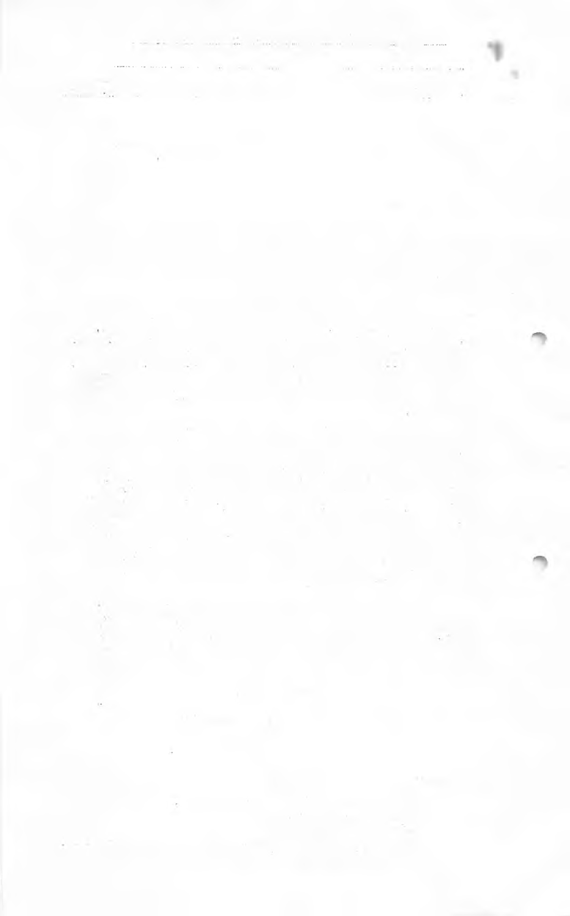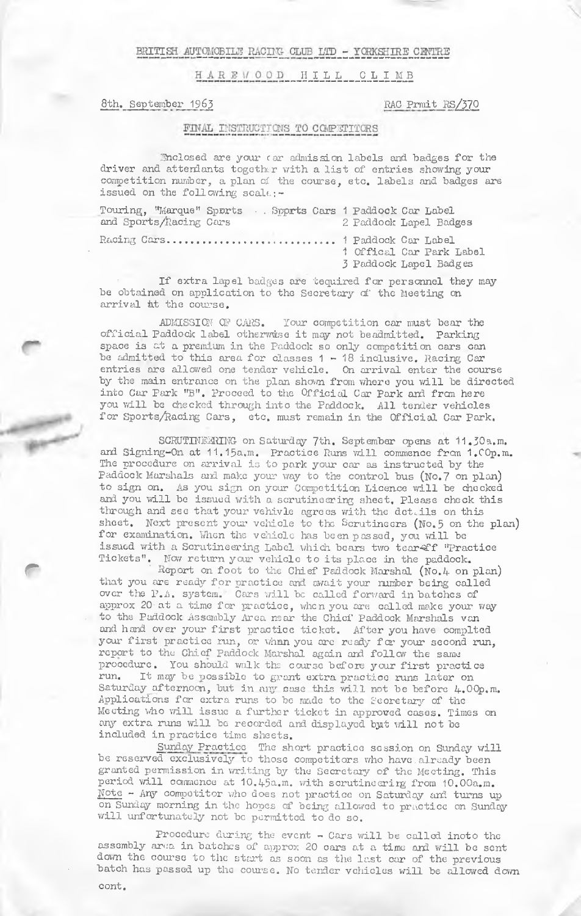BRITISH AUTOMOBILE RACING CLUB LTD - YORKSHIRE CENTRE

## HAREWOOD HILL CLIMB

8th. September 1963

## RAC Prmit RS/370

## FINAL INSTRUCTIONS TO COMPETITORS

Enclosed are your car admission labels and badges for the driver and attendants together with a list of entries showing your competition number, a plan of the course, etc. labels and badges are issued on the following scale:-

| Touring, "Marque" Sports . Sports Cars 1 Paddock Car Label<br>and Sports/Racing Cars | 2 Paddock Lapel Badges                             |
|--------------------------------------------------------------------------------------|----------------------------------------------------|
| Racing Cars 1 Paddock Car Label                                                      | 1 Offical Car Park Label<br>3 Paddock Lapel Badges |

If extra lapel badges are tequired for personnel they may be obtained on application to the Secretary of the Meeting on arrival at the course.

ADMISSION OF CARS. Your competition car must bear the official Paddock label otherwise it may not beadmitted. Parking space is at a premium in the Paddock so only competition cars can be admitted to this area for classes  $1 - 18$  inclusive. Racing Car entries are allowed one tender vehicle. On arrival enter the course by the main entrance on the plan shown from where you will be directed into Car Park "B". Proceed to the Official Car Park and from here you will be checked through into the Paddock. All tender vehicles for Sports/Racing Cars, etc. must remain in the Official Car Park.

SCRUTINEERING on Saturday 7th. September opens at 11.30a.m. and Signing-On at 11.15a.m. Practice Runs will commence from 1.00p.m.<br>The procedure on arrival is to park your car as instructed by the<br>Paddock Marshals and make your way to the control bus (No.7 on plan)<br>to sign on. As yo and you will be issued with a scrutineering sheet. Please check this through and see that your vehivle agrees with the detils on this sheet. Next present your vehicle to the Scrutineers (No. 5 on the plan) for examination. When the vehicle has been passed, you will be issued with a Scrutineering Label which bears two teareff "Practice Tickets". Now return your vehicle to its place in the paddock.

Report on foot to the Chief Paddock Marshal (No.4 on plan) that you are ready for practice and await your number being called over the P.A. system. Cars will be called forward in batches of approx 20 at a time for practice, when you are called make your way to the Paddock Assembly Area near the Chicf Paddock Marshals van and hand over your first practice ticket. After you have complied your first practice run, or whan you are ready for your second run, report to the Chief Paddock Marshal again and follow the same procedure. You should walk the course before your first practice run. It may be possible to grant extra practice runs later on Saturday afternoon, but in any sase this will not be before 4.00p.m. Applications for extra runs to be made to the Secretary of the Meeting who will issue a further ticket in approved cases. Times on any extra runs will be recorded and displayed but will not be included in practice time sheets.

Sunday Practice The short practice session on Sunday will be reserved exclusively to those competitors who have already been granted permission in writing by the Secretary of the Meeting. This period will commence at 10.45a.m. with scrutineering from 10.00a.m. Note - Any compotitor who does not practice on Saturday and turns up on Sunday morning in the hopes of being allowed to practice on Sunday will unfortunately not be permitted to do so.

Procedure during the event - Cars will be called inoto the assembly area in batches of approx 20 cars at a time and will be sent down the course to the start as soon as the last car of the previous batch has passed up the course. No tender vehicles will be allowed down